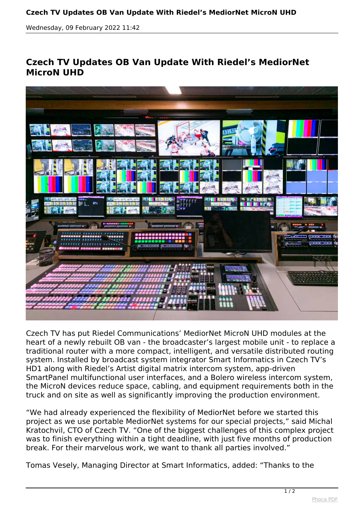## **Czech TV Updates OB Van Update With Riedel's MediorNet MicroN UHD**

*Wednesday, 09 February 2022 11:42*

## **Czech TV Updates OB Van Update With Riedel's MediorNet MicroN UHD**



*Czech TV has put Riedel Communications' MediorNet MicroN UHD modules at the heart of a newly rebuilt OB van - the broadcaster's largest mobile unit - to replace a traditional router with a more compact, intelligent, and versatile distributed routing system. Installed by broadcast system integrator Smart Informatics in Czech TV's HD1 along with Riedel's Artist digital matrix intercom system, app-driven SmartPanel multifunctional user interfaces, and a Bolero wireless intercom system, the MicroN devices reduce space, cabling, and equipment requirements both in the truck and on site as well as significantly improving the production environment.*

*"We had already experienced the flexibility of MediorNet before we started this project as we use portable MediorNet systems for our special projects," said Michal Kratochvil, CTO of Czech TV. "One of the biggest challenges of this complex project was to finish everything within a tight deadline, with just five months of production break. For their marvelous work, we want to thank all parties involved."*

*Tomas Vesely, Managing Director at Smart Informatics, added: "Thanks to the*